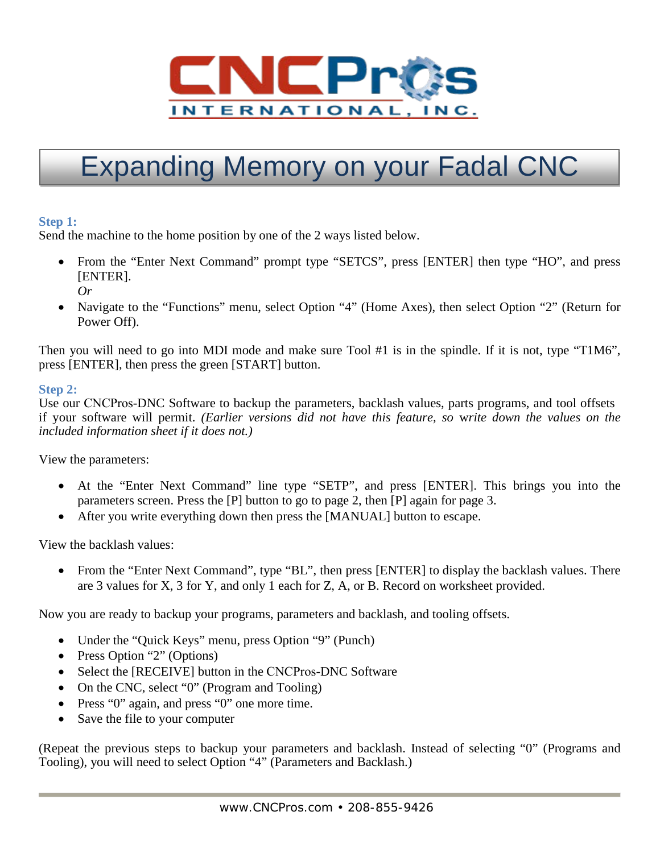

# Expanding Memory on your Fadal CNC

## **Step 1:**

Send the machine to the home position by one of the 2 ways listed below.

- From the "Enter Next Command" prompt type "SETCS", press [ENTER] then type "HO", and press [ENTER]. *Or*
- Navigate to the "Functions" menu, select Option "4" (Home Axes), then select Option "2" (Return for Power Off).

Then you will need to go into MDI mode and make sure Tool #1 is in the spindle. If it is not, type "T1M6", press [ENTER], then press the green [START] button.

### **Step 2:**

Use our CNCPros-DNC Software to backup the parameters, backlash values, parts programs, and tool offsets if your software will permit. *(Earlier versions did not have this feature, so* w*rite down the values on the included information sheet if it does not.)* 

View the parameters:

- At the "Enter Next Command" line type "SETP", and press [ENTER]. This brings you into the parameters screen. Press the [P] button to go to page 2, then [P] again for page 3.
- After you write everything down then press the [MANUAL] button to escape.

View the backlash values:

• From the "Enter Next Command", type "BL", then press [ENTER] to display the backlash values. There are 3 values for X, 3 for Y, and only 1 each for Z, A, or B. Record on worksheet provided.

Now you are ready to backup your programs, parameters and backlash, and tooling offsets.

- Under the "Quick Keys" menu, press Option "9" (Punch)
- Press Option "2" (Options)
- Select the [RECEIVE] button in the CNCPros-DNC Software
- On the CNC, select "0" (Program and Tooling)
- Press "0" again, and press "0" one more time.
- Save the file to your computer

(Repeat the previous steps to backup your parameters and backlash. Instead of selecting "0" (Programs and Tooling), you will need to select Option "4" (Parameters and Backlash.)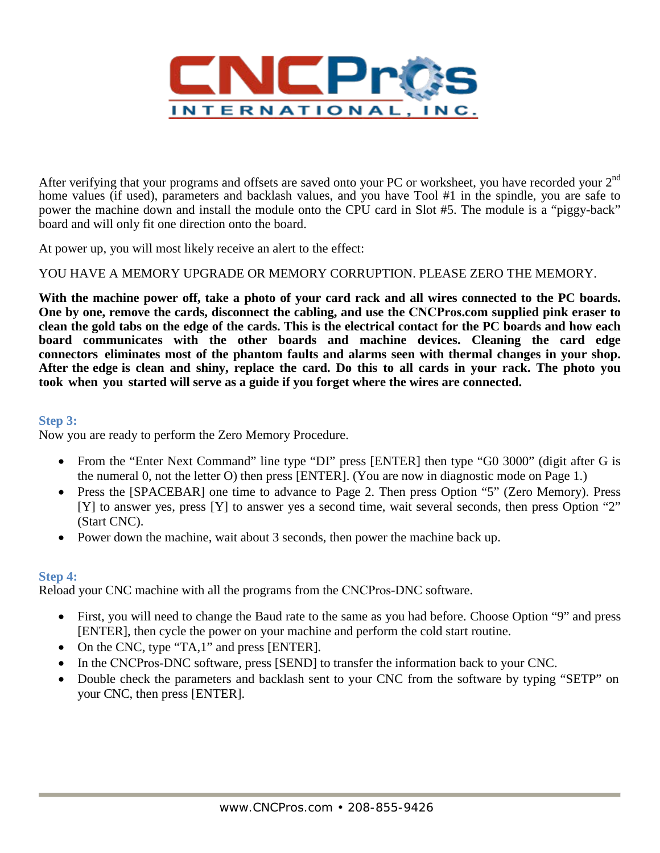

After verifying that your programs and offsets are saved onto your PC or worksheet, you have recorded your 2<sup>nd</sup> home values (if used), parameters and backlash values, and you have Tool #1 in the spindle, you are safe to power the machine down and install the module onto the CPU card in Slot #5. The module is a "piggy-back" board and will only fit one direction onto the board.

At power up, you will most likely receive an alert to the effect:

YOU HAVE A MEMORY UPGRADE OR MEMORY CORRUPTION. PLEASE ZERO THE MEMORY.

**With the machine power off, take a photo of your card rack and all wires connected to the PC boards. One by one, remove the cards, disconnect the cabling, and use the CNCPros.com supplied pink eraser to clean the gold tabs on the edge of the cards. This is the electrical contact for the PC boards and how each board communicates with the other boards and machine devices. Cleaning the card edge connectors eliminates most of the phantom faults and alarms seen with thermal changes in your shop. After the edge is clean and shiny, replace the card. Do this to all cards in your rack. The photo you took when you started will serve as a guide if you forget where the wires are connected.** 

#### **Step 3:**

Now you are ready to perform the Zero Memory Procedure.

- From the "Enter Next Command" line type "DI" press [ENTER] then type "G0 3000" (digit after G is the numeral 0, not the letter O) then press [ENTER]. (You are now in diagnostic mode on Page 1.)
- Press the [SPACEBAR] one time to advance to Page 2. Then press Option "5" (Zero Memory). Press [Y] to answer yes, press [Y] to answer yes a second time, wait several seconds, then press Option "2" (Start CNC).
- Power down the machine, wait about 3 seconds, then power the machine back up.

## **Step 4:**

Reload your CNC machine with all the programs from the CNCPros-DNC software.

- First, you will need to change the Baud rate to the same as you had before. Choose Option "9" and press [ENTER], then cycle the power on your machine and perform the cold start routine.
- On the CNC, type "TA,1" and press [ENTER].
- In the CNCPros-DNC software, press [SEND] to transfer the information back to your CNC.
- Double check the parameters and backlash sent to your CNC from the software by typing "SETP" on your CNC, then press [ENTER].